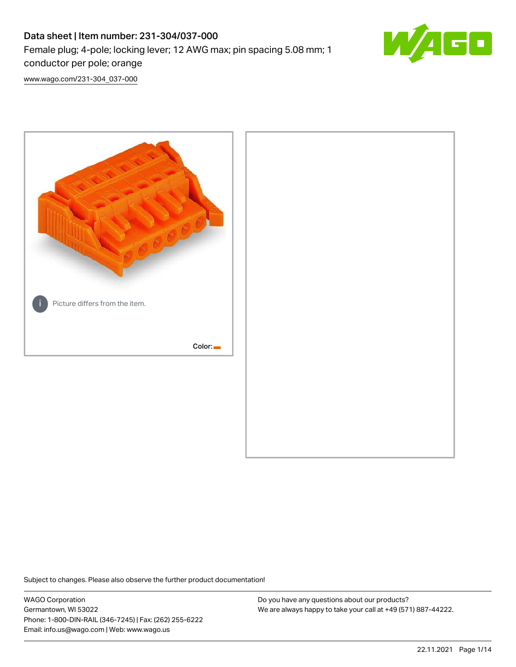# Data sheet | Item number: 231-304/037-000 Female plug; 4-pole; locking lever; 12 AWG max; pin spacing 5.08 mm; 1 conductor per pole; orange



[www.wago.com/231-304\\_037-000](http://www.wago.com/231-304_037-000)



Subject to changes. Please also observe the further product documentation!

WAGO Corporation Germantown, WI 53022 Phone: 1-800-DIN-RAIL (346-7245) | Fax: (262) 255-6222 Email: info.us@wago.com | Web: www.wago.us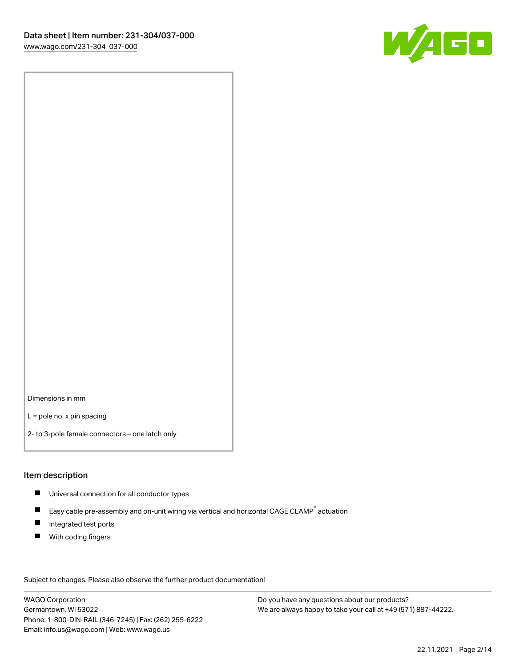

Dimensions in mm

L = pole no. x pin spacing

2- to 3-pole female connectors – one latch only

#### Item description

- **Universal connection for all conductor types**
- Easy cable pre-assembly and on-unit wiring via vertical and horizontal CAGE CLAMP<sup>®</sup> actuation  $\blacksquare$
- $\blacksquare$ Integrated test ports
- $\blacksquare$ With coding fingers

Subject to changes. Please also observe the further product documentation! Data

WAGO Corporation Germantown, WI 53022 Phone: 1-800-DIN-RAIL (346-7245) | Fax: (262) 255-6222 Email: info.us@wago.com | Web: www.wago.us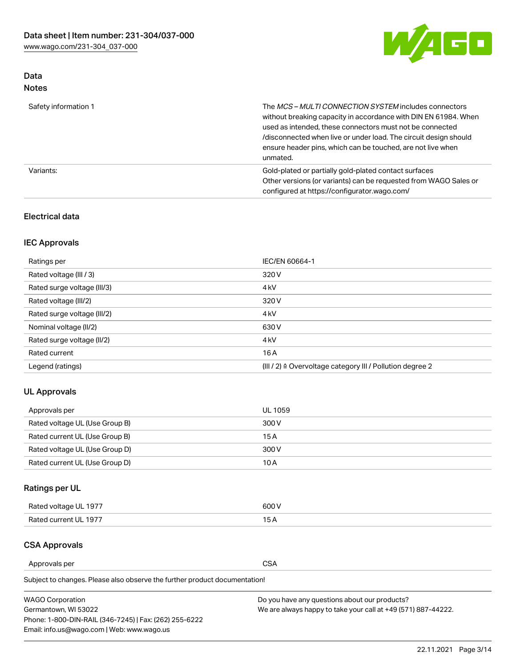

### Data Notes

| Safety information 1 | The <i>MCS – MULTI CONNECTION SYSTEM</i> includes connectors<br>without breaking capacity in accordance with DIN EN 61984. When<br>used as intended, these connectors must not be connected<br>/disconnected when live or under load. The circuit design should<br>ensure header pins, which can be touched, are not live when<br>unmated. |
|----------------------|--------------------------------------------------------------------------------------------------------------------------------------------------------------------------------------------------------------------------------------------------------------------------------------------------------------------------------------------|
| Variants:            | Gold-plated or partially gold-plated contact surfaces<br>Other versions (or variants) can be requested from WAGO Sales or<br>configured at https://configurator.wago.com/                                                                                                                                                                  |

#### Electrical data

### IEC Approvals

| Ratings per                 | IEC/EN 60664-1                                                        |
|-----------------------------|-----------------------------------------------------------------------|
| Rated voltage (III / 3)     | 320 V                                                                 |
| Rated surge voltage (III/3) | 4 <sub>k</sub> V                                                      |
| Rated voltage (III/2)       | 320 V                                                                 |
| Rated surge voltage (III/2) | 4 <sub>k</sub> V                                                      |
| Nominal voltage (II/2)      | 630 V                                                                 |
| Rated surge voltage (II/2)  | 4 <sub>k</sub> V                                                      |
| Rated current               | 16A                                                                   |
| Legend (ratings)            | $(III / 2)$ $\triangle$ Overvoltage category III / Pollution degree 2 |

#### UL Approvals

| Approvals per                  | UL 1059 |
|--------------------------------|---------|
| Rated voltage UL (Use Group B) | 300 V   |
| Rated current UL (Use Group B) | 15 A    |
| Rated voltage UL (Use Group D) | 300 V   |
| Rated current UL (Use Group D) | 10 A    |

# Ratings per UL

| Rated voltage UL 1977 | 300 V |
|-----------------------|-------|
| Rated current UL 1977 |       |

#### CSA Approvals

Approvals per CSA

Subject to changes. Please also observe the further product documentation!

| <b>WAGO Corporation</b>                                | Do you have any questions about our products?                 |
|--------------------------------------------------------|---------------------------------------------------------------|
| Germantown, WI 53022                                   | We are always happy to take your call at +49 (571) 887-44222. |
| Phone: 1-800-DIN-RAIL (346-7245)   Fax: (262) 255-6222 |                                                               |
| Email: info.us@wago.com   Web: www.wago.us             |                                                               |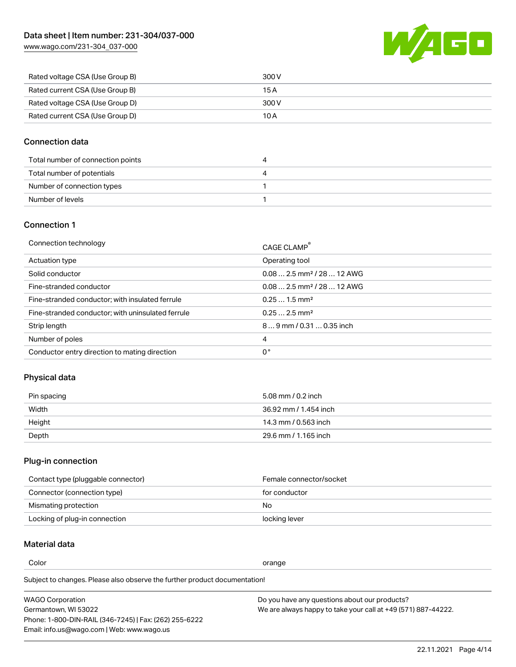

| Rated voltage CSA (Use Group B) | 300 V |
|---------------------------------|-------|
| Rated current CSA (Use Group B) | 15 A  |
| Rated voltage CSA (Use Group D) | 300 V |
| Rated current CSA (Use Group D) | 10 A  |

#### Connection data

| Total number of connection points | 4 |
|-----------------------------------|---|
| Total number of potentials        | 4 |
| Number of connection types        |   |
| Number of levels                  |   |

### Connection 1

| Connection technology                             | CAGE CLAMP <sup>®</sup>                 |
|---------------------------------------------------|-----------------------------------------|
| Actuation type                                    | Operating tool                          |
| Solid conductor                                   | $0.082.5$ mm <sup>2</sup> / 28  12 AWG  |
| Fine-stranded conductor                           | $0.08$ 2.5 mm <sup>2</sup> / 28  12 AWG |
| Fine-stranded conductor; with insulated ferrule   | $0.251.5$ mm <sup>2</sup>               |
| Fine-stranded conductor; with uninsulated ferrule | $0.252.5$ mm <sup>2</sup>               |
| Strip length                                      | 89 mm / 0.31  0.35 inch                 |
| Number of poles                                   | 4                                       |
| Conductor entry direction to mating direction     | 0°                                      |

#### Physical data

| Pin spacing | 5.08 mm / 0.2 inch    |
|-------------|-----------------------|
| Width       | 36.92 mm / 1.454 inch |
| Height      | 14.3 mm / 0.563 inch  |
| Depth       | 29.6 mm / 1.165 inch  |

# Plug-in connection

| Contact type (pluggable connector) | Female connector/socket |
|------------------------------------|-------------------------|
| Connector (connection type)        | for conductor           |
| Mismating protection               | No.                     |
| Locking of plug-in connection      | locking lever           |

### Material data

Color contracts and contracts of the contracts of the contracts of the contracts of the contracts of the contracts of the contracts of the contracts of the contracts of the contracts of the contracts of the contracts of th

Subject to changes. Please also observe the further product documentation! Material group I

| <b>WAGO Corporation</b>                                | Do you have any questions about our products?                 |
|--------------------------------------------------------|---------------------------------------------------------------|
| Germantown, WI 53022                                   | We are always happy to take your call at +49 (571) 887-44222. |
| Phone: 1-800-DIN-RAIL (346-7245)   Fax: (262) 255-6222 |                                                               |
| Email: info.us@wago.com   Web: www.wago.us             |                                                               |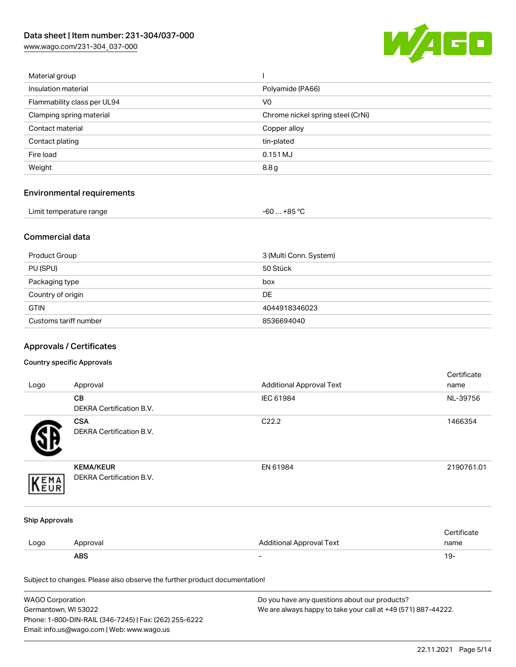

| Material group              |                                   |
|-----------------------------|-----------------------------------|
| Insulation material         | Polyamide (PA66)                  |
| Flammability class per UL94 | V <sub>0</sub>                    |
| Clamping spring material    | Chrome nickel spring steel (CrNi) |
| Contact material            | Copper alloy                      |
| Contact plating             | tin-plated                        |
| Fire load                   | 0.151 MJ                          |
| Weight                      | 8.8 <sub>g</sub>                  |
|                             |                                   |

# Environmental requirements

| Limit temperature range | $-60+85 °C$ |  |
|-------------------------|-------------|--|
|-------------------------|-------------|--|

#### Commercial data

| Product Group         | 3 (Multi Conn. System) |
|-----------------------|------------------------|
| PU (SPU)              | 50 Stück               |
| Packaging type        | box                    |
| Country of origin     | <b>DE</b>              |
| <b>GTIN</b>           | 4044918346023          |
| Customs tariff number | 8536694040             |

# Approvals / Certificates

#### Country specific Approvals

| Logo                  | Approval                                                                   | <b>Additional Approval Text</b> | Certificate<br>name |
|-----------------------|----------------------------------------------------------------------------|---------------------------------|---------------------|
|                       | CВ<br>DEKRA Certification B.V.                                             | IEC 61984                       | NL-39756            |
|                       | <b>CSA</b><br><b>DEKRA Certification B.V.</b>                              | C22.2                           | 1466354             |
| EMA                   | <b>KEMA/KEUR</b><br>DEKRA Certification B.V.                               | EN 61984                        | 2190761.01          |
| <b>Ship Approvals</b> |                                                                            |                                 |                     |
| Logo                  | Approval                                                                   | <b>Additional Approval Text</b> | Certificate<br>name |
|                       | <b>ABS</b>                                                                 |                                 | $19 -$              |
|                       | Subject to changes. Please also observe the further product documentation! |                                 |                     |

| <b>WAGO Corporation</b>                                | Do you have any questions about our products?                 |
|--------------------------------------------------------|---------------------------------------------------------------|
| Germantown, WI 53022                                   | We are always happy to take your call at +49 (571) 887-44222. |
| Phone: 1-800-DIN-RAIL (346-7245)   Fax: (262) 255-6222 |                                                               |
| Email: info.us@wago.com   Web: www.wago.us             |                                                               |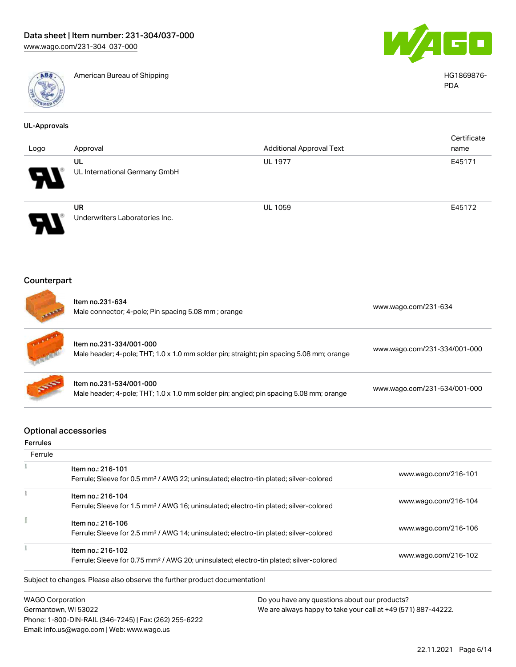

American Bureau of Shipping HG1869876-



PDA

| <b>UL-Approvals</b>        |                                                                                                                         |                                 |                              |  |
|----------------------------|-------------------------------------------------------------------------------------------------------------------------|---------------------------------|------------------------------|--|
|                            |                                                                                                                         |                                 | Certificate                  |  |
| Logo                       | Approval                                                                                                                | <b>Additional Approval Text</b> | name                         |  |
|                            | UL<br>UL International Germany GmbH                                                                                     | <b>UL 1977</b>                  | E45171                       |  |
|                            | <b>UR</b><br>Underwriters Laboratories Inc.                                                                             | <b>UL 1059</b>                  | E45172                       |  |
| Counterpart                |                                                                                                                         |                                 |                              |  |
|                            | Item no.231-634<br>Male connector; 4-pole; Pin spacing 5.08 mm; orange                                                  |                                 | www.wago.com/231-634         |  |
|                            | Item no.231-334/001-000<br>Male header; 4-pole; THT; 1.0 x 1.0 mm solder pin; straight; pin spacing 5.08 mm; orange     |                                 | www.wago.com/231-334/001-000 |  |
|                            | Item no.231-534/001-000<br>Male header; 4-pole; THT; 1.0 x 1.0 mm solder pin; angled; pin spacing 5.08 mm; orange       |                                 | www.wago.com/231-534/001-000 |  |
| <b>Ferrules</b><br>Ferrule | <b>Optional accessories</b>                                                                                             |                                 |                              |  |
|                            | Item no.: 216-101                                                                                                       |                                 |                              |  |
|                            | Ferrule; Sleeve for 0.5 mm <sup>2</sup> / AWG 22; uninsulated; electro-tin plated; silver-colored                       |                                 | www.wago.com/216-101         |  |
| Ť                          | Item no.: 216-104<br>Ferrule; Sleeve for 1.5 mm <sup>2</sup> / AWG 16; uninsulated; electro-tin plated; silver-colored  |                                 | www.wago.com/216-104         |  |
| î                          | Item no.: 216-106<br>Ferrule; Sleeve for 2.5 mm <sup>2</sup> / AWG 14; uninsulated; electro-tin plated; silver-colored  |                                 | www.wago.com/216-106         |  |
| ł                          | Item no.: 216-102<br>Ferrule; Sleeve for 0.75 mm <sup>2</sup> / AWG 20; uninsulated; electro-tin plated; silver-colored |                                 | www.wago.com/216-102         |  |

Subject to changes. Please also observe the further product documentation!

WAGO Corporation Germantown, WI 53022 Phone: 1-800-DIN-RAIL (346-7245) | Fax: (262) 255-6222 Email: info.us@wago.com | Web: www.wago.us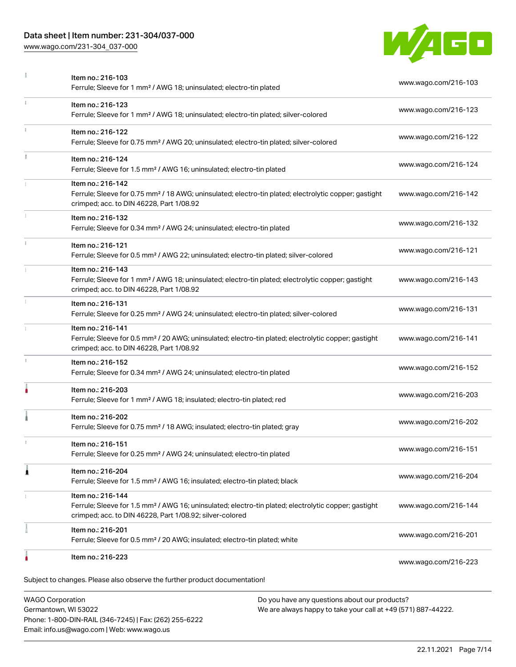#### Data sheet | Item number: 231-304/037-000

Phone: 1-800-DIN-RAIL (346-7245) | Fax: (262) 255-6222

Email: info.us@wago.com | Web: www.wago.us

[www.wago.com/231-304\\_037-000](http://www.wago.com/231-304_037-000)



| Item no.: 216-103<br>Ferrule; Sleeve for 1 mm <sup>2</sup> / AWG 18; uninsulated; electro-tin plated                                                                                              | www.wago.com/216-103 |
|---------------------------------------------------------------------------------------------------------------------------------------------------------------------------------------------------|----------------------|
| Item no.: 216-123<br>Ferrule; Sleeve for 1 mm <sup>2</sup> / AWG 18; uninsulated; electro-tin plated; silver-colored                                                                              | www.wago.com/216-123 |
| Item no.: 216-122<br>Ferrule; Sleeve for 0.75 mm <sup>2</sup> / AWG 20; uninsulated; electro-tin plated; silver-colored                                                                           | www.wago.com/216-122 |
| Item no.: 216-124<br>Ferrule; Sleeve for 1.5 mm <sup>2</sup> / AWG 16; uninsulated; electro-tin plated                                                                                            | www.wago.com/216-124 |
| Item no.: 216-142<br>Ferrule; Sleeve for 0.75 mm <sup>2</sup> / 18 AWG; uninsulated; electro-tin plated; electrolytic copper; gastight<br>crimped; acc. to DIN 46228, Part 1/08.92                | www.wago.com/216-142 |
| Item no.: 216-132<br>Ferrule; Sleeve for 0.34 mm <sup>2</sup> / AWG 24; uninsulated; electro-tin plated                                                                                           | www.wago.com/216-132 |
| Item no.: 216-121<br>Ferrule; Sleeve for 0.5 mm <sup>2</sup> / AWG 22; uninsulated; electro-tin plated; silver-colored                                                                            | www.wago.com/216-121 |
| Item no.: 216-143<br>Ferrule; Sleeve for 1 mm <sup>2</sup> / AWG 18; uninsulated; electro-tin plated; electrolytic copper; gastight<br>crimped; acc. to DIN 46228, Part 1/08.92                   | www.wago.com/216-143 |
| Item no.: 216-131<br>Ferrule; Sleeve for 0.25 mm <sup>2</sup> / AWG 24; uninsulated; electro-tin plated; silver-colored                                                                           | www.wago.com/216-131 |
| Item no.: 216-141<br>Ferrule; Sleeve for 0.5 mm <sup>2</sup> / 20 AWG; uninsulated; electro-tin plated; electrolytic copper; gastight<br>crimped; acc. to DIN 46228, Part 1/08.92                 | www.wago.com/216-141 |
| Item no.: 216-152<br>Ferrule; Sleeve for 0.34 mm <sup>2</sup> / AWG 24; uninsulated; electro-tin plated                                                                                           | www.wago.com/216-152 |
| Item no.: 216-203<br>Ferrule; Sleeve for 1 mm <sup>2</sup> / AWG 18; insulated; electro-tin plated; red                                                                                           | www.wago.com/216-203 |
| Item no.: 216-202<br>Ferrule; Sleeve for 0.75 mm <sup>2</sup> / 18 AWG; insulated; electro-tin plated; gray                                                                                       | www.wago.com/216-202 |
| Item no.: 216-151<br>Ferrule; Sleeve for 0.25 mm <sup>2</sup> / AWG 24; uninsulated; electro-tin plated                                                                                           | www.wago.com/216-151 |
| Item no.: 216-204<br>Ferrule; Sleeve for 1.5 mm <sup>2</sup> / AWG 16; insulated; electro-tin plated; black                                                                                       | www.wago.com/216-204 |
| Item no.: 216-144<br>Ferrule; Sleeve for 1.5 mm <sup>2</sup> / AWG 16; uninsulated; electro-tin plated; electrolytic copper; gastight<br>crimped; acc. to DIN 46228, Part 1/08.92; silver-colored | www.wago.com/216-144 |
| Item no.: 216-201<br>Ferrule; Sleeve for 0.5 mm <sup>2</sup> / 20 AWG; insulated; electro-tin plated; white                                                                                       | www.wago.com/216-201 |
| Item no.: 216-223                                                                                                                                                                                 | www.wago.com/216-223 |
| Subject to changes. Please also observe the further product documentation!                                                                                                                        |                      |
| <b>WAGO Corporation</b><br>Do you have any questions about our products?<br>We are always happy to take your call at +49 (571) 887-44222.<br>Germantown, WI 53022                                 |                      |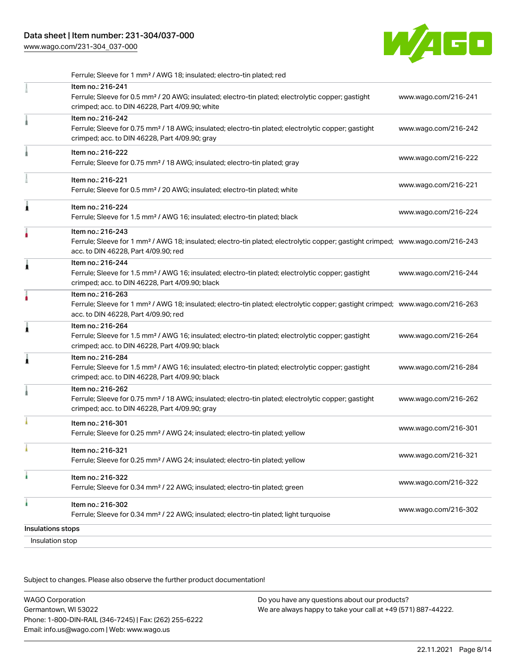

|                   | Ferrule; Sleeve for 1 mm <sup>2</sup> / AWG 18; insulated; electro-tin plated; red                                                                                                                      |                      |
|-------------------|---------------------------------------------------------------------------------------------------------------------------------------------------------------------------------------------------------|----------------------|
|                   | Item no.: 216-241<br>Ferrule; Sleeve for 0.5 mm <sup>2</sup> / 20 AWG; insulated; electro-tin plated; electrolytic copper; gastight<br>crimped; acc. to DIN 46228, Part 4/09.90; white                  | www.wago.com/216-241 |
|                   | Item no.: 216-242<br>Ferrule; Sleeve for 0.75 mm <sup>2</sup> / 18 AWG; insulated; electro-tin plated; electrolytic copper; gastight<br>crimped; acc. to DIN 46228, Part 4/09.90; gray                  | www.wago.com/216-242 |
|                   | Item no.: 216-222<br>Ferrule; Sleeve for 0.75 mm <sup>2</sup> / 18 AWG; insulated; electro-tin plated; gray                                                                                             | www.wago.com/216-222 |
|                   | Item no.: 216-221<br>Ferrule; Sleeve for 0.5 mm <sup>2</sup> / 20 AWG; insulated; electro-tin plated; white                                                                                             | www.wago.com/216-221 |
| Ă                 | Item no.: 216-224<br>Ferrule; Sleeve for 1.5 mm <sup>2</sup> / AWG 16; insulated; electro-tin plated; black                                                                                             | www.wago.com/216-224 |
|                   | Item no.: 216-243<br>Ferrule; Sleeve for 1 mm <sup>2</sup> / AWG 18; insulated; electro-tin plated; electrolytic copper; gastight crimped; www.wago.com/216-243<br>acc. to DIN 46228, Part 4/09.90; red |                      |
| 1                 | Item no.: 216-244<br>Ferrule; Sleeve for 1.5 mm <sup>2</sup> / AWG 16; insulated; electro-tin plated; electrolytic copper; gastight<br>crimped; acc. to DIN 46228, Part 4/09.90; black                  | www.wago.com/216-244 |
|                   | Item no.: 216-263<br>Ferrule; Sleeve for 1 mm <sup>2</sup> / AWG 18; insulated; electro-tin plated; electrolytic copper; gastight crimped; www.wago.com/216-263<br>acc. to DIN 46228, Part 4/09.90; red |                      |
| 1                 | Item no.: 216-264<br>Ferrule; Sleeve for 1.5 mm <sup>2</sup> / AWG 16; insulated; electro-tin plated; electrolytic copper; gastight<br>crimped; acc. to DIN 46228, Part 4/09.90; black                  | www.wago.com/216-264 |
| 1                 | Item no.: 216-284<br>Ferrule; Sleeve for 1.5 mm <sup>2</sup> / AWG 16; insulated; electro-tin plated; electrolytic copper; gastight<br>crimped; acc. to DIN 46228, Part 4/09.90; black                  | www.wago.com/216-284 |
|                   | Item no.: 216-262<br>Ferrule; Sleeve for 0.75 mm <sup>2</sup> / 18 AWG; insulated; electro-tin plated; electrolytic copper; gastight<br>crimped; acc. to DIN 46228, Part 4/09.90; gray                  | www.wago.com/216-262 |
|                   | Item no.: 216-301<br>Ferrule; Sleeve for 0.25 mm <sup>2</sup> / AWG 24; insulated; electro-tin plated; yellow                                                                                           | www.wago.com/216-301 |
|                   | Item no.: 216-321<br>Ferrule; Sleeve for 0.25 mm <sup>2</sup> / AWG 24; insulated; electro-tin plated; yellow                                                                                           | www.wago.com/216-321 |
| ł                 | Item no.: 216-322<br>Ferrule; Sleeve for 0.34 mm <sup>2</sup> / 22 AWG; insulated; electro-tin plated; green                                                                                            | www.wago.com/216-322 |
| à                 | Item no.: 216-302<br>Ferrule; Sleeve for 0.34 mm <sup>2</sup> / 22 AWG; insulated; electro-tin plated; light turquoise                                                                                  | www.wago.com/216-302 |
| Insulations stops |                                                                                                                                                                                                         |                      |
|                   | Insulation stop                                                                                                                                                                                         |                      |

Subject to changes. Please also observe the further product documentation!

WAGO Corporation Germantown, WI 53022 Phone: 1-800-DIN-RAIL (346-7245) | Fax: (262) 255-6222 Email: info.us@wago.com | Web: www.wago.us Do you have any questions about our products? We are always happy to take your call at +49 (571) 887-44222.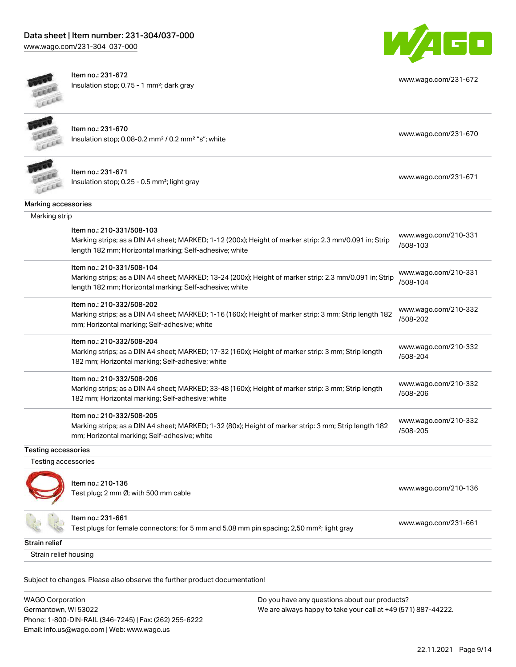# Data sheet | Item number: 231-304/037-000

[www.wago.com/231-304\\_037-000](http://www.wago.com/231-304_037-000)



Item no.: 231-672 Insulation stop; 0.75 - 1 mm²; dark gray



[www.wago.com/231-672](http://www.wago.com/231-672)

Item no.: 231-670 Insulation stop; 0.08-0.2 mm<sup>2</sup> / 0.2 mm<sup>2</sup> "s"; white [www.wago.com/231-670](http://www.wago.com/231-670) www.wago.com/231-670



Item no.: 231-671 Insulation stop; 0.25 - 0.5 mm²; light gray [www.wago.com/231-671](http://www.wago.com/231-671) www.wago.com/231-671

| Marking accessories        |                                                                                                                                                                                                 |                                  |
|----------------------------|-------------------------------------------------------------------------------------------------------------------------------------------------------------------------------------------------|----------------------------------|
| Marking strip              |                                                                                                                                                                                                 |                                  |
|                            | Item no.: 210-331/508-103<br>Marking strips; as a DIN A4 sheet; MARKED; 1-12 (200x); Height of marker strip: 2.3 mm/0.091 in; Strip<br>length 182 mm; Horizontal marking; Self-adhesive; white  | www.wago.com/210-331<br>/508-103 |
|                            | Item no.: 210-331/508-104<br>Marking strips; as a DIN A4 sheet; MARKED; 13-24 (200x); Height of marker strip: 2.3 mm/0.091 in; Strip<br>length 182 mm; Horizontal marking; Self-adhesive; white | www.wago.com/210-331<br>/508-104 |
|                            | Item no.: 210-332/508-202<br>Marking strips; as a DIN A4 sheet; MARKED; 1-16 (160x); Height of marker strip: 3 mm; Strip length 182<br>mm; Horizontal marking; Self-adhesive; white             | www.wago.com/210-332<br>/508-202 |
|                            | Item no.: 210-332/508-204<br>Marking strips; as a DIN A4 sheet; MARKED; 17-32 (160x); Height of marker strip: 3 mm; Strip length<br>182 mm; Horizontal marking; Self-adhesive; white            | www.wago.com/210-332<br>/508-204 |
|                            | Item no.: 210-332/508-206<br>Marking strips; as a DIN A4 sheet; MARKED; 33-48 (160x); Height of marker strip: 3 mm; Strip length<br>182 mm; Horizontal marking; Self-adhesive; white            | www.wago.com/210-332<br>/508-206 |
|                            | Item no.: 210-332/508-205<br>Marking strips; as a DIN A4 sheet; MARKED; 1-32 (80x); Height of marker strip: 3 mm; Strip length 182<br>mm; Horizontal marking; Self-adhesive; white              | www.wago.com/210-332<br>/508-205 |
| <b>Testing accessories</b> |                                                                                                                                                                                                 |                                  |
| Testing accessories        |                                                                                                                                                                                                 |                                  |
|                            | Item no.: 210-136<br>Test plug; 2 mm Ø; with 500 mm cable                                                                                                                                       | www.wago.com/210-136             |
|                            | Item no.: 231-661<br>Test plugs for female connectors; for 5 mm and 5.08 mm pin spacing; 2,50 mm <sup>2</sup> ; light gray                                                                      | www.wago.com/231-661             |

Strain relief

Strain relief housing

Subject to changes. Please also observe the further product documentation!

WAGO Corporation Germantown, WI 53022 Phone: 1-800-DIN-RAIL (346-7245) | Fax: (262) 255-6222 Email: info.us@wago.com | Web: www.wago.us Do you have any questions about our products? We are always happy to take your call at +49 (571) 887-44222.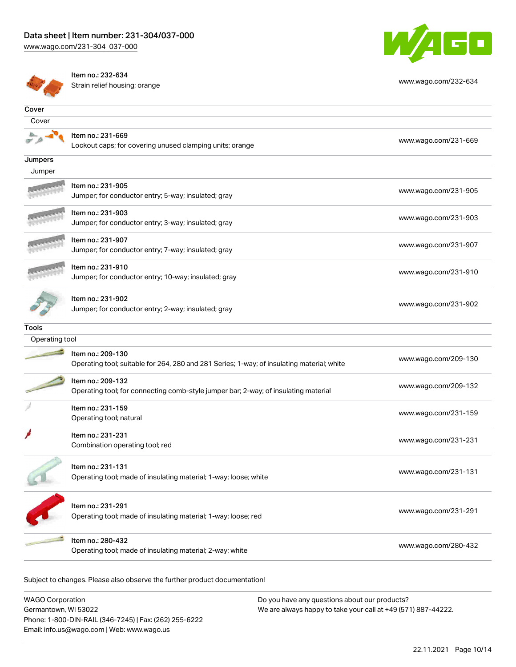



Item no.: 232-634 Strain relief housing; orange [www.wago.com/232-634](http://www.wago.com/232-634)

| Cover          |                                                                                                                 |                      |
|----------------|-----------------------------------------------------------------------------------------------------------------|----------------------|
| Cover          |                                                                                                                 |                      |
|                | Item no.: 231-669<br>Lockout caps; for covering unused clamping units; orange                                   | www.wago.com/231-669 |
| Jumpers        |                                                                                                                 |                      |
| Jumper         |                                                                                                                 |                      |
|                | Item no.: 231-905<br>Jumper; for conductor entry; 5-way; insulated; gray                                        | www.wago.com/231-905 |
|                | Item no.: 231-903<br>Jumper; for conductor entry; 3-way; insulated; gray                                        | www.wago.com/231-903 |
|                | Item no.: 231-907<br>Jumper; for conductor entry; 7-way; insulated; gray                                        | www.wago.com/231-907 |
|                | Item no.: 231-910<br>Jumper; for conductor entry; 10-way; insulated; gray                                       | www.wago.com/231-910 |
|                | Item no.: 231-902<br>Jumper; for conductor entry; 2-way; insulated; gray                                        | www.wago.com/231-902 |
| <b>Tools</b>   |                                                                                                                 |                      |
| Operating tool |                                                                                                                 |                      |
|                | Item no.: 209-130<br>Operating tool; suitable for 264, 280 and 281 Series; 1-way; of insulating material; white | www.wago.com/209-130 |
|                | Item no.: 209-132<br>Operating tool; for connecting comb-style jumper bar; 2-way; of insulating material        | www.wago.com/209-132 |
|                | Item no.: 231-159<br>Operating tool; natural                                                                    | www.wago.com/231-159 |
|                | Item no.: 231-231<br>Combination operating tool; red                                                            | www.wago.com/231-231 |
|                | Item no.: 231-131<br>Operating tool; made of insulating material; 1-way; loose; white                           | www.wago.com/231-131 |
|                | Item no.: 231-291<br>Operating tool; made of insulating material; 1-way; loose; red                             | www.wago.com/231-291 |
|                | Item no.: 280-432<br>Operating tool; made of insulating material; 2-way; white                                  | www.wago.com/280-432 |

Subject to changes. Please also observe the further product documentation!

| <b>WAGO Corporation</b>                                | Do you have any questions about our products?                 |
|--------------------------------------------------------|---------------------------------------------------------------|
| Germantown, WI 53022                                   | We are always happy to take your call at +49 (571) 887-44222. |
| Phone: 1-800-DIN-RAIL (346-7245)   Fax: (262) 255-6222 |                                                               |
| Email: info.us@wago.com   Web: www.wago.us             |                                                               |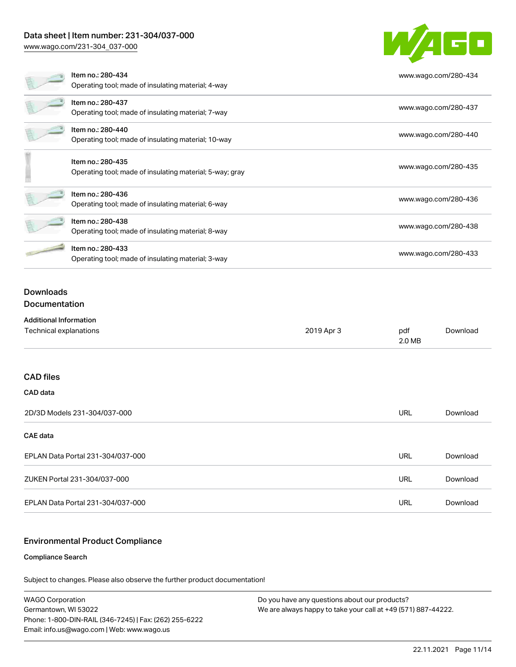### Data sheet | Item number: 231-304/037-000

[www.wago.com/231-304\\_037-000](http://www.wago.com/231-304_037-000)



|                                   | Item no.: 280-434<br>Operating tool; made of insulating material; 4-way       |            |               | www.wago.com/280-434 |
|-----------------------------------|-------------------------------------------------------------------------------|------------|---------------|----------------------|
|                                   | Item no.: 280-437<br>Operating tool; made of insulating material; 7-way       |            |               | www.wago.com/280-437 |
|                                   | Item no.: 280-440<br>Operating tool; made of insulating material; 10-way      |            |               | www.wago.com/280-440 |
|                                   | Item no.: 280-435<br>Operating tool; made of insulating material; 5-way; gray |            |               | www.wago.com/280-435 |
|                                   | Item no.: 280-436<br>Operating tool; made of insulating material; 6-way       |            |               | www.wago.com/280-436 |
|                                   | Item no.: 280-438<br>Operating tool; made of insulating material; 8-way       |            |               | www.wago.com/280-438 |
|                                   | Item no.: 280-433<br>Operating tool; made of insulating material; 3-way       |            |               | www.wago.com/280-433 |
| <b>Downloads</b><br>Documentation |                                                                               |            |               |                      |
| <b>Additional Information</b>     |                                                                               |            |               |                      |
| Technical explanations            |                                                                               | 2019 Apr 3 | pdf<br>2.0 MB | Download             |
|                                   |                                                                               |            |               |                      |

#### CAD files

#### CAD data

| 2D/3D Models 231-304/037-000      | URL | Download |
|-----------------------------------|-----|----------|
| <b>CAE data</b>                   |     |          |
| EPLAN Data Portal 231-304/037-000 | URL | Download |
| ZUKEN Portal 231-304/037-000      | URL | Download |
| EPLAN Data Portal 231-304/037-000 | URL | Download |

#### Environmental Product Compliance

#### Compliance Search

Subject to changes. Please also observe the further product documentation!

WAGO Corporation Germantown, WI 53022 Phone: 1-800-DIN-RAIL (346-7245) | Fax: (262) 255-6222 Email: info.us@wago.com | Web: www.wago.us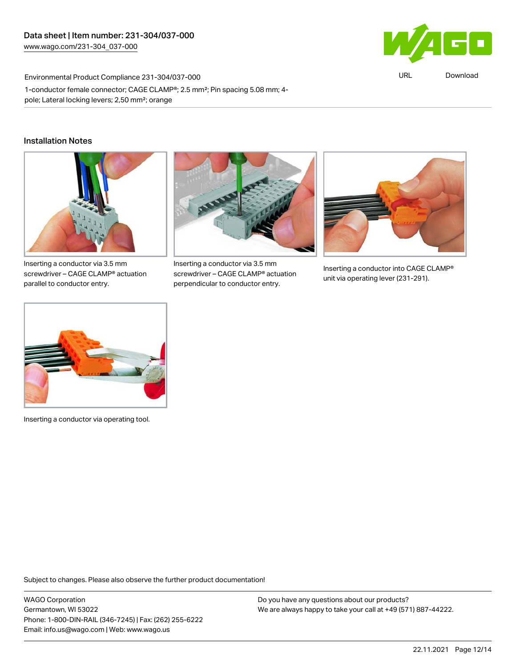

URL [Download](https://www.wago.com/global/d/ComplianceLinkMediaContainer_231-304_037-000)

Environmental Product Compliance 231-304/037-000 1-conductor female connector; CAGE CLAMP®; 2.5 mm²; Pin spacing 5.08 mm; 4 pole; Lateral locking levers; 2,50 mm²; orange

#### Installation Notes



Inserting a conductor via 3.5 mm screwdriver – CAGE CLAMP® actuation parallel to conductor entry.



Inserting a conductor via 3.5 mm screwdriver – CAGE CLAMP® actuation perpendicular to conductor entry.



Inserting a conductor into CAGE CLAMP® unit via operating lever (231-291).



Inserting a conductor via operating tool.

Subject to changes. Please also observe the further product documentation!

WAGO Corporation Germantown, WI 53022 Phone: 1-800-DIN-RAIL (346-7245) | Fax: (262) 255-6222 Email: info.us@wago.com | Web: www.wago.us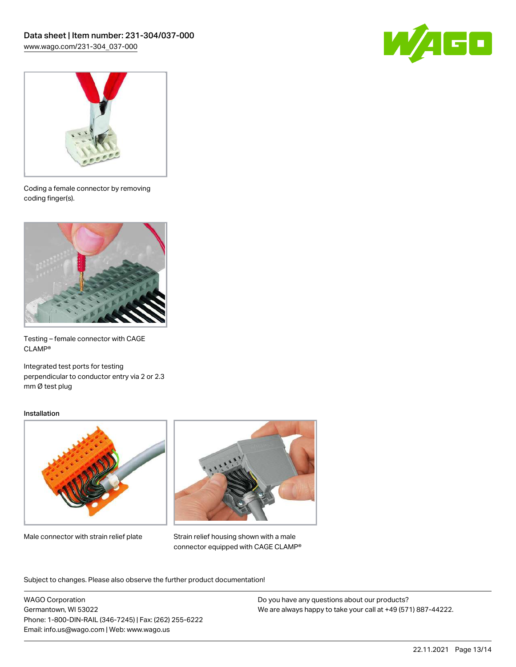



Coding a female connector by removing coding finger(s).



Testing – female connector with CAGE CLAMP®

Integrated test ports for testing perpendicular to conductor entry via 2 or 2.3 mm Ø test plug

#### Installation



Male connector with strain relief plate



Strain relief housing shown with a male connector equipped with CAGE CLAMP®

Subject to changes. Please also observe the further product documentation!

WAGO Corporation Germantown, WI 53022 Phone: 1-800-DIN-RAIL (346-7245) | Fax: (262) 255-6222 Email: info.us@wago.com | Web: www.wago.us